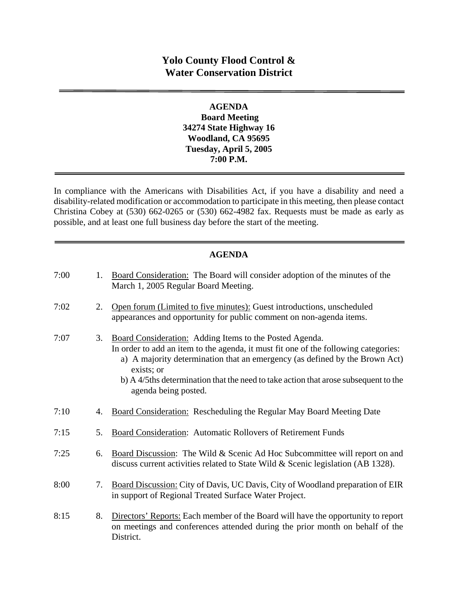# **Yolo County Flood Control & Water Conservation District**

## **AGENDA Board Meeting 34274 State Highway 16 Woodland, CA 95695 Tuesday, April 5, 2005 7:00 P.M.**

In compliance with the Americans with Disabilities Act, if you have a disability and need a disability-related modification or accommodation to participate in this meeting, then please contact Christina Cobey at (530) 662-0265 or (530) 662-4982 fax. Requests must be made as early as possible, and at least one full business day before the start of the meeting.

## **AGENDA**

| 7:00 | 1. | Board Consideration: The Board will consider adoption of the minutes of the<br>March 1, 2005 Regular Board Meeting.                                                                                                                                                                                                                                        |
|------|----|------------------------------------------------------------------------------------------------------------------------------------------------------------------------------------------------------------------------------------------------------------------------------------------------------------------------------------------------------------|
| 7:02 | 2. | Open forum (Limited to five minutes): Guest introductions, unscheduled<br>appearances and opportunity for public comment on non-agenda items.                                                                                                                                                                                                              |
| 7:07 | 3. | Board Consideration: Adding Items to the Posted Agenda.<br>In order to add an item to the agenda, it must fit one of the following categories:<br>a) A majority determination that an emergency (as defined by the Brown Act)<br>exists; or<br>b) A 4/5ths determination that the need to take action that arose subsequent to the<br>agenda being posted. |
| 7:10 | 4. | <b>Board Consideration:</b> Rescheduling the Regular May Board Meeting Date                                                                                                                                                                                                                                                                                |
| 7:15 | 5. | Board Consideration: Automatic Rollovers of Retirement Funds                                                                                                                                                                                                                                                                                               |
| 7:25 | 6. | Board Discussion: The Wild & Scenic Ad Hoc Subcommittee will report on and<br>discuss current activities related to State Wild & Scenic legislation (AB 1328).                                                                                                                                                                                             |
| 8:00 | 7. | Board Discussion: City of Davis, UC Davis, City of Woodland preparation of EIR<br>in support of Regional Treated Surface Water Project.                                                                                                                                                                                                                    |
| 8:15 | 8. | Directors' Reports: Each member of the Board will have the opportunity to report<br>on meetings and conferences attended during the prior month on behalf of the<br>District.                                                                                                                                                                              |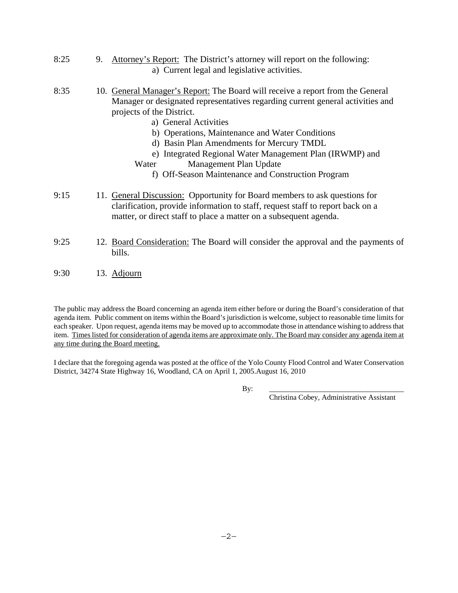- 8:25 9. Attorney's Report: The District's attorney will report on the following: a) Current legal and legislative activities.
- 8:35 10. General Manager's Report: The Board will receive a report from the General Manager or designated representatives regarding current general activities and projects of the District.
	- a) General Activities
	- b) Operations, Maintenance and Water Conditions
	- d) Basin Plan Amendments for Mercury TMDL
	- e) Integrated Regional Water Management Plan (IRWMP) and
	- Water Management Plan Update
		- f) Off-Season Maintenance and Construction Program
- 9:15 11. General Discussion: Opportunity for Board members to ask questions for clarification, provide information to staff, request staff to report back on a matter, or direct staff to place a matter on a subsequent agenda.
- 9:25 12. Board Consideration: The Board will consider the approval and the payments of bills.
- 9:30 13. Adjourn

The public may address the Board concerning an agenda item either before or during the Board's consideration of that agenda item. Public comment on items within the Board's jurisdiction is welcome, subject to reasonable time limits for each speaker. Upon request, agenda items may be moved up to accommodate those in attendance wishing to address that item. Times listed for consideration of agenda items are approximate only. The Board may consider any agenda item at any time during the Board meeting.

I declare that the foregoing agenda was posted at the office of the Yolo County Flood Control and Water Conservation District, 34274 State Highway 16, Woodland, CA on April 1, 2005.August 16, 2010

By: \_\_\_\_\_\_\_\_\_\_\_\_\_\_\_\_\_\_\_\_\_\_\_\_\_\_\_\_\_\_\_\_\_\_\_\_\_

Christina Cobey, Administrative Assistant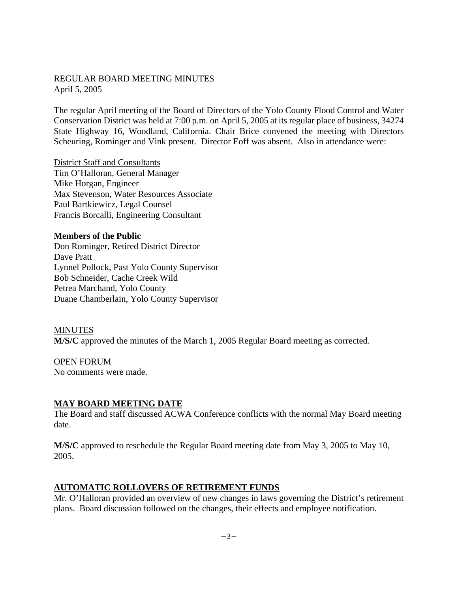#### REGULAR BOARD MEETING MINUTES April 5, 2005

The regular April meeting of the Board of Directors of the Yolo County Flood Control and Water Conservation District was held at 7:00 p.m. on April 5, 2005 at its regular place of business, 34274 State Highway 16, Woodland, California. Chair Brice convened the meeting with Directors Scheuring, Rominger and Vink present. Director Eoff was absent. Also in attendance were:

District Staff and Consultants Tim O'Halloran, General Manager Mike Horgan, Engineer Max Stevenson, Water Resources Associate Paul Bartkiewicz, Legal Counsel Francis Borcalli, Engineering Consultant

**Members of the Public**  Don Rominger, Retired District Director Dave Pratt Lynnel Pollock, Past Yolo County Supervisor Bob Schneider, Cache Creek Wild Petrea Marchand, Yolo County Duane Chamberlain, Yolo County Supervisor

MINUTES **M/S/C** approved the minutes of the March 1, 2005 Regular Board meeting as corrected.

OPEN FORUM No comments were made.

#### **MAY BOARD MEETING DATE**

The Board and staff discussed ACWA Conference conflicts with the normal May Board meeting date.

**M/S/C** approved to reschedule the Regular Board meeting date from May 3, 2005 to May 10, 2005.

#### **AUTOMATIC ROLLOVERS OF RETIREMENT FUNDS**

Mr. O'Halloran provided an overview of new changes in laws governing the District's retirement plans. Board discussion followed on the changes, their effects and employee notification.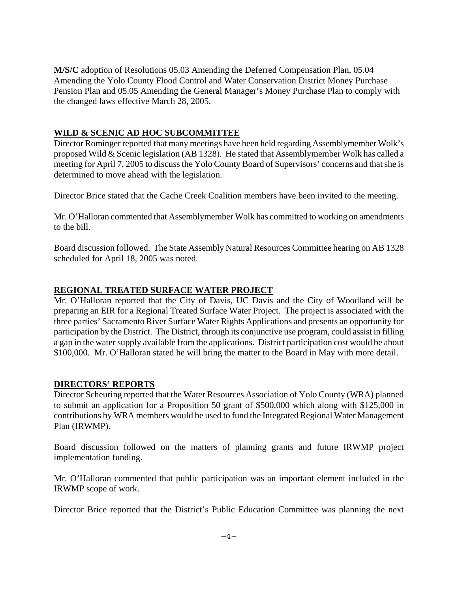**M/S/C** adoption of Resolutions 05.03 Amending the Deferred Compensation Plan, 05.04 Amending the Yolo County Flood Control and Water Conservation District Money Purchase Pension Plan and 05.05 Amending the General Manager's Money Purchase Plan to comply with the changed laws effective March 28, 2005.

## **WILD & SCENIC AD HOC SUBCOMMITTEE**

Director Rominger reported that many meetings have been held regarding Assemblymember Wolk's proposed Wild & Scenic legislation (AB 1328). He stated that Assemblymember Wolk has called a meeting for April 7, 2005 to discuss the Yolo County Board of Supervisors' concerns and that she is determined to move ahead with the legislation.

Director Brice stated that the Cache Creek Coalition members have been invited to the meeting.

Mr. O'Halloran commented that Assemblymember Wolk has committed to working on amendments to the bill.

Board discussion followed. The State Assembly Natural Resources Committee hearing on AB 1328 scheduled for April 18, 2005 was noted.

## **REGIONAL TREATED SURFACE WATER PROJECT**

Mr. O'Halloran reported that the City of Davis, UC Davis and the City of Woodland will be preparing an EIR for a Regional Treated Surface Water Project. The project is associated with the three parties' Sacramento River Surface Water Rights Applications and presents an opportunity for participation by the District. The District, through its conjunctive use program, could assist in filling a gap in the water supply available from the applications. District participation cost would be about \$100,000. Mr. O'Halloran stated he will bring the matter to the Board in May with more detail.

## **DIRECTORS' REPORTS**

Director Scheuring reported that the Water Resources Association of Yolo County (WRA) planned to submit an application for a Proposition 50 grant of \$500,000 which along with \$125,000 in contributions by WRA members would be used to fund the Integrated Regional Water Management Plan (IRWMP).

Board discussion followed on the matters of planning grants and future IRWMP project implementation funding.

Mr. O'Halloran commented that public participation was an important element included in the IRWMP scope of work.

Director Brice reported that the District's Public Education Committee was planning the next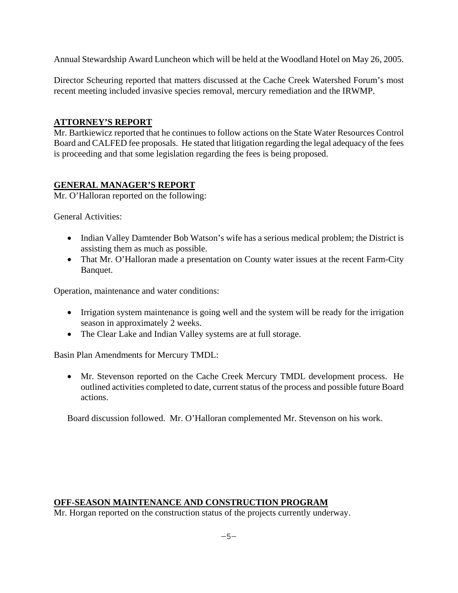Annual Stewardship Award Luncheon which will be held at the Woodland Hotel on May 26, 2005.

Director Scheuring reported that matters discussed at the Cache Creek Watershed Forum's most recent meeting included invasive species removal, mercury remediation and the IRWMP.

## **ATTORNEY'S REPORT**

Mr. Bartkiewicz reported that he continues to follow actions on the State Water Resources Control Board and CALFED fee proposals. He stated that litigation regarding the legal adequacy of the fees is proceeding and that some legislation regarding the fees is being proposed.

## **GENERAL MANAGER'S REPORT**

Mr. O'Halloran reported on the following:

General Activities:

- Indian Valley Damtender Bob Watson's wife has a serious medical problem; the District is assisting them as much as possible.
- That Mr. O'Halloran made a presentation on County water issues at the recent Farm-City Banquet.

Operation, maintenance and water conditions:

- Irrigation system maintenance is going well and the system will be ready for the irrigation season in approximately 2 weeks.
- The Clear Lake and Indian Valley systems are at full storage.

Basin Plan Amendments for Mercury TMDL:

 Mr. Stevenson reported on the Cache Creek Mercury TMDL development process. He outlined activities completed to date, current status of the process and possible future Board actions.

Board discussion followed. Mr. O'Halloran complemented Mr. Stevenson on his work.

## **OFF-SEASON MAINTENANCE AND CONSTRUCTION PROGRAM**

Mr. Horgan reported on the construction status of the projects currently underway.